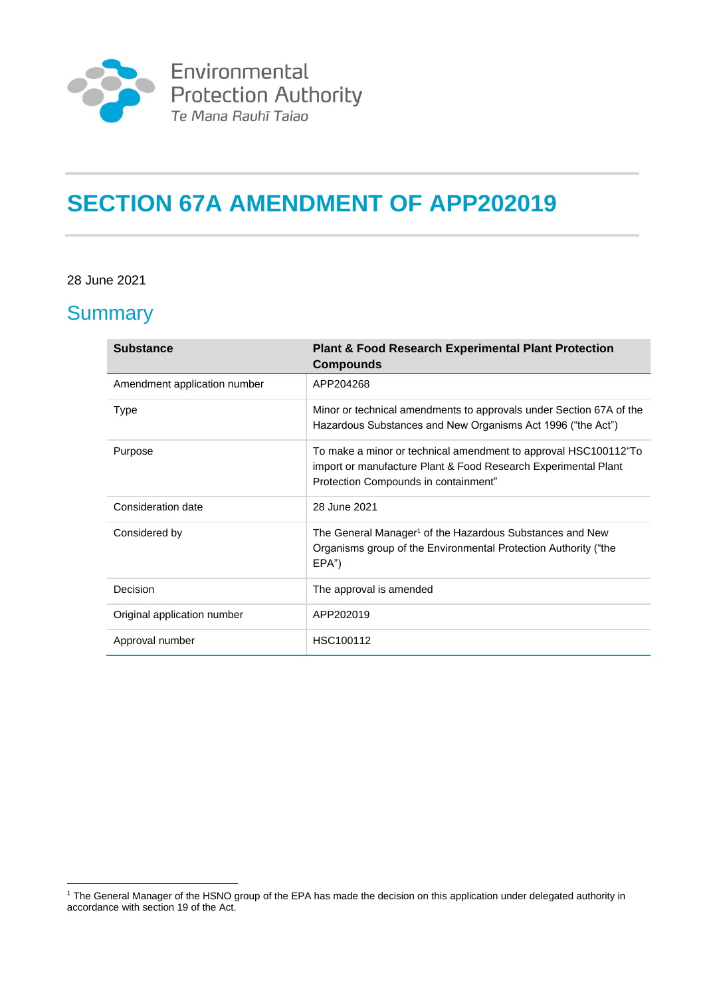

# **SECTION 67A AMENDMENT OF APP202019**

#### 28 June 2021

### **Summary**

| <b>Substance</b>             | <b>Plant &amp; Food Research Experimental Plant Protection</b><br><b>Compounds</b>                                                                                        |
|------------------------------|---------------------------------------------------------------------------------------------------------------------------------------------------------------------------|
| Amendment application number | APP204268                                                                                                                                                                 |
| Type                         | Minor or technical amendments to approvals under Section 67A of the<br>Hazardous Substances and New Organisms Act 1996 ("the Act")                                        |
| Purpose                      | To make a minor or technical amendment to approval HSC100112 To<br>import or manufacture Plant & Food Research Experimental Plant<br>Protection Compounds in containment" |
| Consideration date           | 28 June 2021                                                                                                                                                              |
| Considered by                | The General Manager <sup>1</sup> of the Hazardous Substances and New<br>Organisms group of the Environmental Protection Authority ("the<br>EPA")                          |
| Decision                     | The approval is amended                                                                                                                                                   |
| Original application number  | APP202019                                                                                                                                                                 |
| Approval number              | HSC100112                                                                                                                                                                 |

<sup>&</sup>lt;sup>1</sup> The General Manager of the HSNO group of the EPA has made the decision on this application under delegated authority in accordance with section 19 of the Act.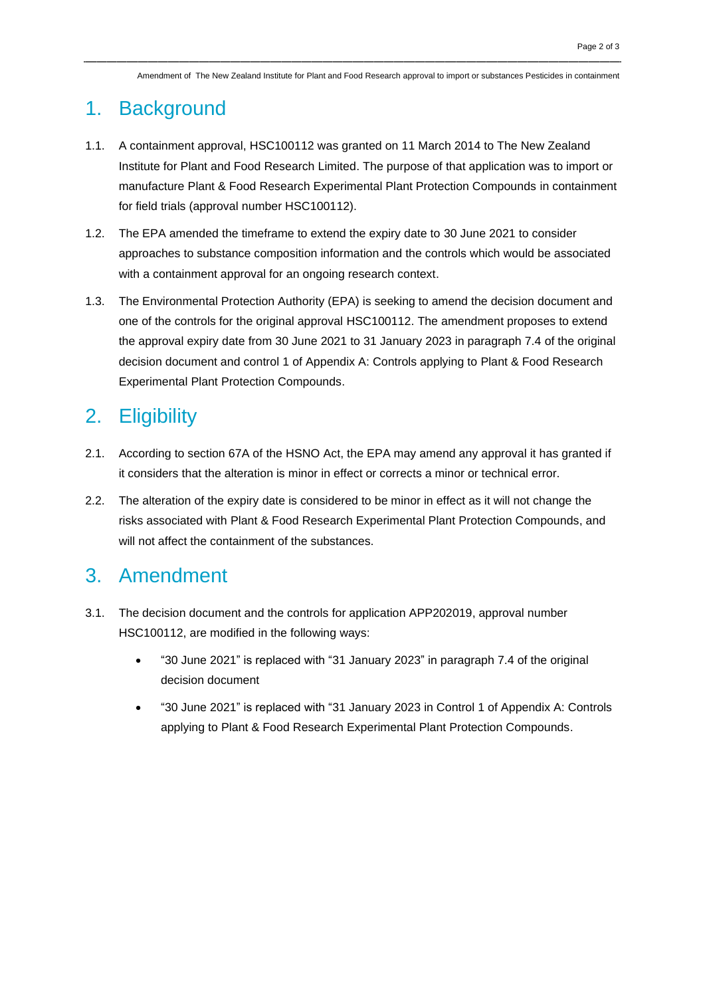Amendment of The New Zealand Institute for Plant and Food Research approval to import or substances Pesticides in containment

#### 1. Background

- 1.1. A containment approval, HSC100112 was granted on 11 March 2014 to The New Zealand Institute for Plant and Food Research Limited. The purpose of that application was to import or manufacture Plant & Food Research Experimental Plant Protection Compounds in containment for field trials (approval number HSC100112).
- 1.2. The EPA amended the timeframe to extend the expiry date to 30 June 2021 to consider approaches to substance composition information and the controls which would be associated with a containment approval for an ongoing research context.
- 1.3. The Environmental Protection Authority (EPA) is seeking to amend the decision document and one of the controls for the original approval HSC100112. The amendment proposes to extend the approval expiry date from 30 June 2021 to 31 January 2023 in paragraph 7.4 of the original decision document and control 1 of Appendix A: Controls applying to Plant & Food Research Experimental Plant Protection Compounds.

## 2. Eligibility

- 2.1. According to section 67A of the HSNO Act, the EPA may amend any approval it has granted if it considers that the alteration is minor in effect or corrects a minor or technical error.
- 2.2. The alteration of the expiry date is considered to be minor in effect as it will not change the risks associated with Plant & Food Research Experimental Plant Protection Compounds, and will not affect the containment of the substances.

### 3. Amendment

- 3.1. The decision document and the controls for application APP202019, approval number HSC100112, are modified in the following ways:
	- "30 June 2021" is replaced with "31 January 2023" in paragraph 7.4 of the original decision document
	- "30 June 2021" is replaced with "31 January 2023 in Control 1 of Appendix A: Controls applying to Plant & Food Research Experimental Plant Protection Compounds.